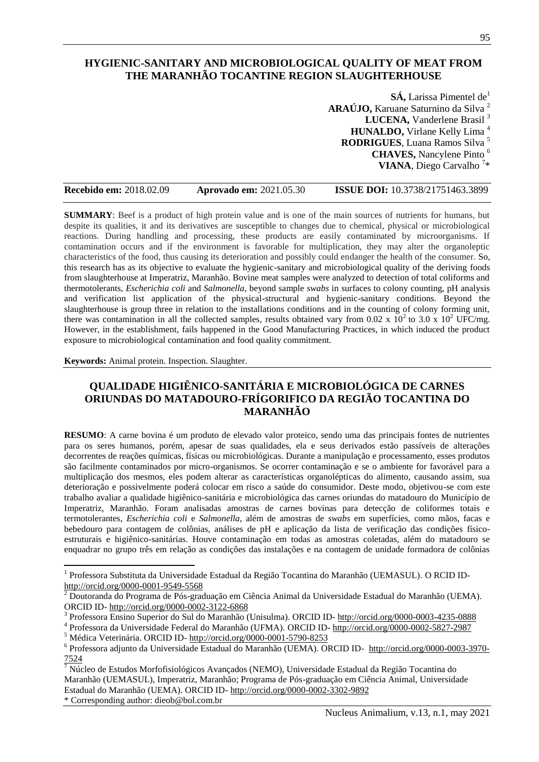## **HYGIENIC-SANITARY AND MICROBIOLOGICAL QUALITY OF MEAT FROM THE MARANHÃO TOCANTINE REGION SLAUGHTERHOUSE**

**SÁ, Larissa Pimentel de**<sup>1</sup> **ARAÚJO,** Karuane Saturnino da Silva <sup>2</sup> LUCENA, Vanderlene Brasil<sup>3</sup> **HUNALDO,** Virlane Kelly Lima <sup>4</sup> **RODRIGUES**, Luana Ramos Silva <sup>5</sup> **CHAVES,** Nancylene Pinto <sup>6</sup> **VIANA**, Diego Carvalho <sup>7</sup> \*

| <b>Recebido em: 2018.02.09</b> | <b>Aprovado em: 2021.05.30</b> | <b>ISSUE DOI:</b> 10.3738/21751463.3899 |
|--------------------------------|--------------------------------|-----------------------------------------|
|--------------------------------|--------------------------------|-----------------------------------------|

**SUMMARY**: Beef is a product of high protein value and is one of the main sources of nutrients for humans, but despite its qualities, it and its derivatives are susceptible to changes due to chemical, physical or microbiological reactions. During handling and processing, these products are easily contaminated by microorganisms. If contamination occurs and if the environment is favorable for multiplication, they may alter the organoleptic characteristics of the food, thus causing its deterioration and possibly could endanger the health of the consumer. So, this research has as its objective to evaluate the hygienic-sanitary and microbiological quality of the deriving foods from slaughterhouse at Imperatriz, Maranhão. Bovine meat samples were analyzed to detection of total coliforms and thermotolerants, *Escherichia coli* and *Salmonella*, beyond sample *swabs* in surfaces to colony counting, pH analysis and verification list application of the physical-structural and hygienic-sanitary conditions. Beyond the slaughterhouse is group three in relation to the installations conditions and in the counting of colony forming unit, there was contamination in all the collected samples, results obtained vary from 0.02 x  $10^2$  to 3.0 x  $10^2$  UFC/mg. However, in the establishment, fails happened in the Good Manufacturing Practices, in which induced the product exposure to microbiological contamination and food quality commitment.

#### **Keywords:** Animal protein. Inspection. Slaughter.

## **QUALIDADE HIGIÊNICO-SANITÁRIA E MICROBIOLÓGICA DE CARNES ORIUNDAS DO MATADOURO-FRÍGORIFICO DA REGIÃO TOCANTINA DO MARANHÃO**

**RESUMO**: A carne bovina é um produto de elevado valor proteico, sendo uma das principais fontes de nutrientes para os seres humanos, porém, apesar de suas qualidades, ela e seus derivados estão passíveis de alterações decorrentes de reações químicas, físicas ou microbiológicas. Durante a manipulação e processamento, esses produtos são facilmente contaminados por micro-organismos. Se ocorrer contaminação e se o ambiente for favorável para a multiplicação dos mesmos, eles podem alterar as características organolépticas do alimento, causando assim, sua deterioração e possivelmente poderá colocar em risco a saúde do consumidor. Deste modo, objetivou-se com este trabalho avaliar a qualidade higiênico-sanitária e microbiológica das carnes oriundas do matadouro do Município de Imperatriz, Maranhão. Foram analisadas amostras de carnes bovinas para detecção de coliformes totais e termotolerantes, *Escherichia coli* e *Salmonella*, além de amostras de *swabs* em superfícies, como mãos, facas e bebedouro para contagem de colônias, análises de pH e aplicação da lista de verificação das condições físicoestruturais e higiênico-sanitárias. Houve contaminação em todas as amostras coletadas, além do matadouro se enquadrar no grupo três em relação as condições das instalações e na contagem de unidade formadora de colônias

l

<sup>&</sup>lt;sup>1</sup> Professora Substituta da Universidade Estadual da Região Tocantina do Maranhão (UEMASUL). O RCID ID<http://orcid.org/0000-0001-9549-5568>

 $^2$  Doutoranda do Programa de Pós-graduação em Ciência Animal da Universidade Estadual do Maranhão (UEMA). ORCID ID- <http://orcid.org/0000-0002-3122-6868>

<sup>&</sup>lt;sup>3</sup> Professora Ensino Superior do Sul do Maranhão (Unisulma). ORCID ID- <http://orcid.org/0000-0003-4235-0888>

<sup>4</sup> Professora da Universidade Federal do Maranhão (UFMA). ORCID ID- <http://orcid.org/0000-0002-5827-2987>

<sup>5</sup> Médica Veterinária. ORCID ID- <http://orcid.org/0000-0001-5790-8253>

<sup>&</sup>lt;sup>6</sup> Professora adjunto da Universidade Estadual do Maranhão (UEMA). ORCID ID- [http://orcid.org/0000-0003-3970-](http://orcid.org/0000-0003-3970-7524) [7524](http://orcid.org/0000-0003-3970-7524)

 $\sqrt{7}$  Núcleo de Estudos Morfofisiológicos Avançados (NEMO), Universidade Estadual da Região Tocantina do Maranhão (UEMASUL), Imperatriz, Maranhão; Programa de Pós-graduação em Ciência Animal, Universidade Estadual do Maranhão (UEMA). ORCID ID- <http://orcid.org/0000-0002-3302-9892>

<sup>\*</sup> Corresponding author: dieob@bol.com.br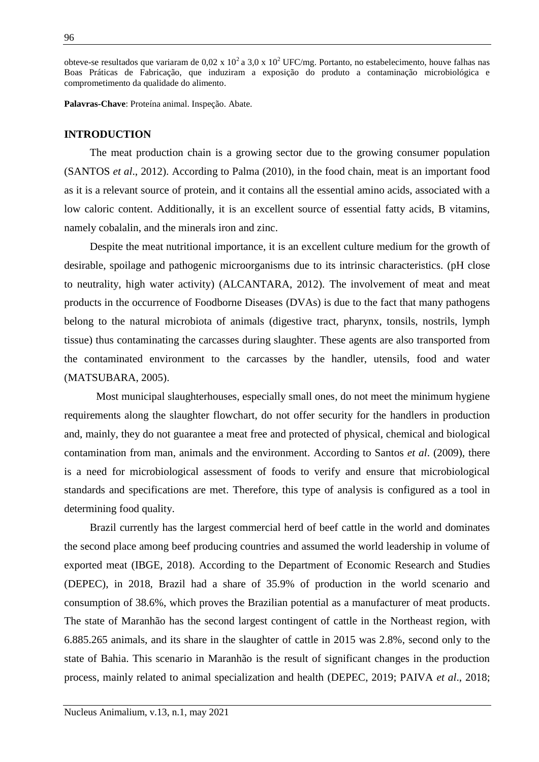obteve-se resultados que variaram de 0,02 x 10<sup>2</sup> a 3,0 x 10<sup>2</sup> UFC/mg. Portanto, no estabelecimento, houve falhas nas Boas Práticas de Fabricação, que induziram a exposição do produto a contaminação microbiológica e comprometimento da qualidade do alimento.

**Palavras-Chave**: Proteína animal. Inspeção. Abate.

#### **INTRODUCTION**

The meat production chain is a growing sector due to the growing consumer population (SANTOS *et al*., 2012). According to Palma (2010), in the food chain, meat is an important food as it is a relevant source of protein, and it contains all the essential amino acids, associated with a low caloric content. Additionally, it is an excellent source of essential fatty acids, B vitamins, namely cobalalin, and the minerals iron and zinc.

Despite the meat nutritional importance, it is an excellent culture medium for the growth of desirable, spoilage and pathogenic microorganisms due to its intrinsic characteristics. (pH close to neutrality, high water activity) (ALCANTARA, 2012). The involvement of meat and meat products in the occurrence of Foodborne Diseases (DVAs) is due to the fact that many pathogens belong to the natural microbiota of animals (digestive tract, pharynx, tonsils, nostrils, lymph tissue) thus contaminating the carcasses during slaughter. These agents are also transported from the contaminated environment to the carcasses by the handler, utensils, food and water (MATSUBARA, 2005).

Most municipal slaughterhouses, especially small ones, do not meet the minimum hygiene requirements along the slaughter flowchart, do not offer security for the handlers in production and, mainly, they do not guarantee a meat free and protected of physical, chemical and biological contamination from man, animals and the environment. According to Santos *et al*. (2009), there is a need for microbiological assessment of foods to verify and ensure that microbiological standards and specifications are met. Therefore, this type of analysis is configured as a tool in determining food quality.

Brazil currently has the largest commercial herd of beef cattle in the world and dominates the second place among beef producing countries and assumed the world leadership in volume of exported meat (IBGE, 2018). According to the Department of Economic Research and Studies (DEPEC), in 2018, Brazil had a share of 35.9% of production in the world scenario and consumption of 38.6%, which proves the Brazilian potential as a manufacturer of meat products. The state of Maranhão has the second largest contingent of cattle in the Northeast region, with 6.885.265 animals, and its share in the slaughter of cattle in 2015 was 2.8%, second only to the state of Bahia. This scenario in Maranhão is the result of significant changes in the production process, mainly related to animal specialization and health (DEPEC, 2019; PAIVA *et al*., 2018;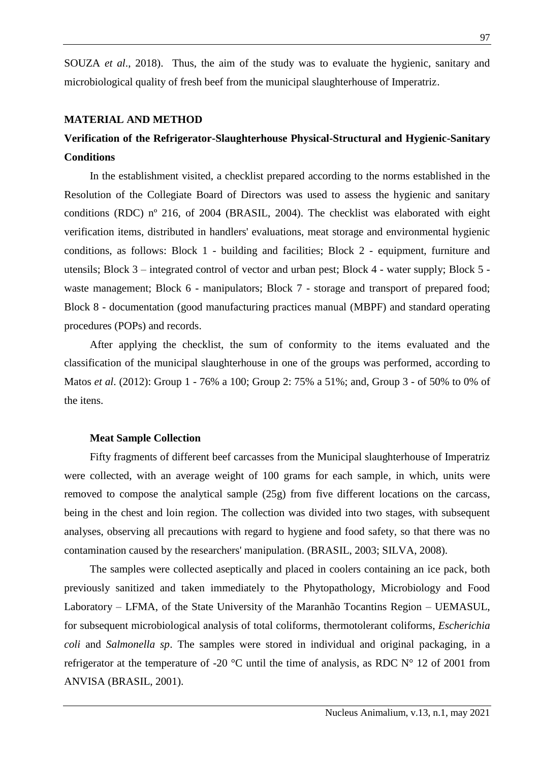SOUZA *et al*., 2018). Thus, the aim of the study was to evaluate the hygienic, sanitary and microbiological quality of fresh beef from the municipal slaughterhouse of Imperatriz.

#### **MATERIAL AND METHOD**

# **Verification of the Refrigerator-Slaughterhouse Physical-Structural and Hygienic-Sanitary Conditions**

In the establishment visited, a checklist prepared according to the norms established in the Resolution of the Collegiate Board of Directors was used to assess the hygienic and sanitary conditions (RDC) nº 216, of 2004 (BRASIL, 2004). The checklist was elaborated with eight verification items, distributed in handlers' evaluations, meat storage and environmental hygienic conditions, as follows: Block 1 - building and facilities; Block 2 - equipment, furniture and utensils; Block 3 – integrated control of vector and urban pest; Block 4 - water supply; Block 5 waste management; Block 6 - manipulators; Block 7 - storage and transport of prepared food; Block 8 - documentation (good manufacturing practices manual (MBPF) and standard operating procedures (POPs) and records.

After applying the checklist, the sum of conformity to the items evaluated and the classification of the municipal slaughterhouse in one of the groups was performed, according to Matos *et al*. (2012): Group 1 - 76% a 100; Group 2: 75% a 51%; and, Group 3 - of 50% to 0% of the itens.

#### **Meat Sample Collection**

Fifty fragments of different beef carcasses from the Municipal slaughterhouse of Imperatriz were collected, with an average weight of 100 grams for each sample, in which, units were removed to compose the analytical sample (25g) from five different locations on the carcass, being in the chest and loin region. The collection was divided into two stages, with subsequent analyses, observing all precautions with regard to hygiene and food safety, so that there was no contamination caused by the researchers' manipulation. (BRASIL, 2003; SILVA, 2008).

The samples were collected aseptically and placed in coolers containing an ice pack, both previously sanitized and taken immediately to the Phytopathology, Microbiology and Food Laboratory – LFMA, of the State University of the Maranhão Tocantins Region – UEMASUL, for subsequent microbiological analysis of total coliforms, thermotolerant coliforms, *Escherichia coli* and *Salmonella sp*. The samples were stored in individual and original packaging, in a refrigerator at the temperature of -20  $^{\circ}$ C until the time of analysis, as RDC N° 12 of 2001 from ANVISA (BRASIL, 2001).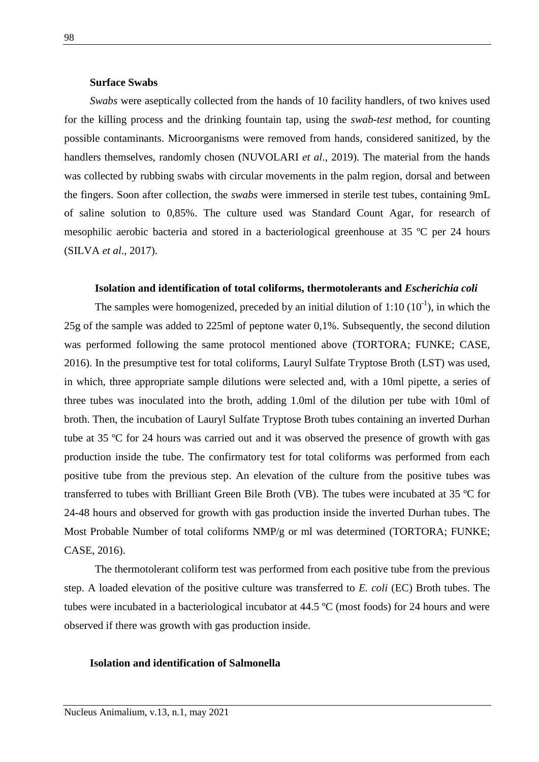### **Surface Swabs**

*Swabs* were aseptically collected from the hands of 10 facility handlers, of two knives used for the killing process and the drinking fountain tap, using the *swab-test* method, for counting possible contaminants. Microorganisms were removed from hands, considered sanitized, by the handlers themselves, randomly chosen (NUVOLARI *et al*., 2019). The material from the hands was collected by rubbing swabs with circular movements in the palm region, dorsal and between the fingers. Soon after collection, the *swabs* were immersed in sterile test tubes, containing 9mL of saline solution to 0,85%. The culture used was Standard Count Agar, for research of mesophilic aerobic bacteria and stored in a bacteriological greenhouse at 35 ºC per 24 hours (SILVA *et al*., 2017).

#### **Isolation and identification of total coliforms, thermotolerants and** *Escherichia coli*

The samples were homogenized, preceded by an initial dilution of  $1:10 \ (10^{-1})$ , in which the 25g of the sample was added to 225ml of peptone water 0,1%. Subsequently, the second dilution was performed following the same protocol mentioned above (TORTORA; FUNKE; CASE, 2016). In the presumptive test for total coliforms, Lauryl Sulfate Tryptose Broth (LST) was used, in which, three appropriate sample dilutions were selected and, with a 10ml pipette, a series of three tubes was inoculated into the broth, adding 1.0ml of the dilution per tube with 10ml of broth. Then, the incubation of Lauryl Sulfate Tryptose Broth tubes containing an inverted Durhan tube at 35 ºC for 24 hours was carried out and it was observed the presence of growth with gas production inside the tube. The confirmatory test for total coliforms was performed from each positive tube from the previous step. An elevation of the culture from the positive tubes was transferred to tubes with Brilliant Green Bile Broth (VB). The tubes were incubated at 35 ºC for 24-48 hours and observed for growth with gas production inside the inverted Durhan tubes. The Most Probable Number of total coliforms NMP/g or ml was determined (TORTORA; FUNKE; CASE, 2016).

The thermotolerant coliform test was performed from each positive tube from the previous step. A loaded elevation of the positive culture was transferred to *E. coli* (EC) Broth tubes. The tubes were incubated in a bacteriological incubator at 44.5 ºC (most foods) for 24 hours and were observed if there was growth with gas production inside.

#### **Isolation and identification of Salmonella**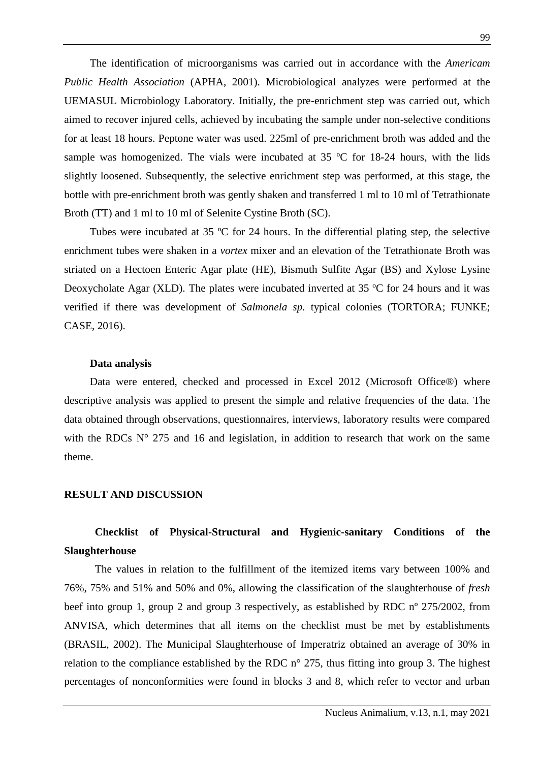The identification of microorganisms was carried out in accordance with the *Americam Public Health Association* (APHA, 2001). Microbiological analyzes were performed at the UEMASUL Microbiology Laboratory. Initially, the pre-enrichment step was carried out, which aimed to recover injured cells, achieved by incubating the sample under non-selective conditions for at least 18 hours. Peptone water was used. 225ml of pre-enrichment broth was added and the sample was homogenized. The vials were incubated at 35 °C for 18-24 hours, with the lids slightly loosened. Subsequently, the selective enrichment step was performed, at this stage, the bottle with pre-enrichment broth was gently shaken and transferred 1 ml to 10 ml of Tetrathionate Broth (TT) and 1 ml to 10 ml of Selenite Cystine Broth (SC).

Tubes were incubated at 35 ºC for 24 hours. In the differential plating step, the selective enrichment tubes were shaken in a *vortex* mixer and an elevation of the Tetrathionate Broth was striated on a Hectoen Enteric Agar plate (HE), Bismuth Sulfite Agar (BS) and Xylose Lysine Deoxycholate Agar (XLD). The plates were incubated inverted at 35 ºC for 24 hours and it was verified if there was development of *Salmonela sp.* typical colonies (TORTORA; FUNKE; CASE, 2016).

#### **Data analysis**

Data were entered, checked and processed in Excel 2012 (Microsoft Office®) where descriptive analysis was applied to present the simple and relative frequencies of the data. The data obtained through observations, questionnaires, interviews, laboratory results were compared with the RDCs  $N^{\circ}$  275 and 16 and legislation, in addition to research that work on the same theme.

### **RESULT AND DISCUSSION**

## **Checklist of Physical-Structural and Hygienic-sanitary Conditions of the Slaughterhouse**

The values in relation to the fulfillment of the itemized items vary between 100% and 76%, 75% and 51% and 50% and 0%, allowing the classification of the slaughterhouse of *fresh* beef into group 1, group 2 and group 3 respectively, as established by RDC nº 275/2002, from ANVISA, which determines that all items on the checklist must be met by establishments (BRASIL, 2002). The Municipal Slaughterhouse of Imperatriz obtained an average of 30% in relation to the compliance established by the RDC n° 275, thus fitting into group 3. The highest percentages of nonconformities were found in blocks 3 and 8, which refer to vector and urban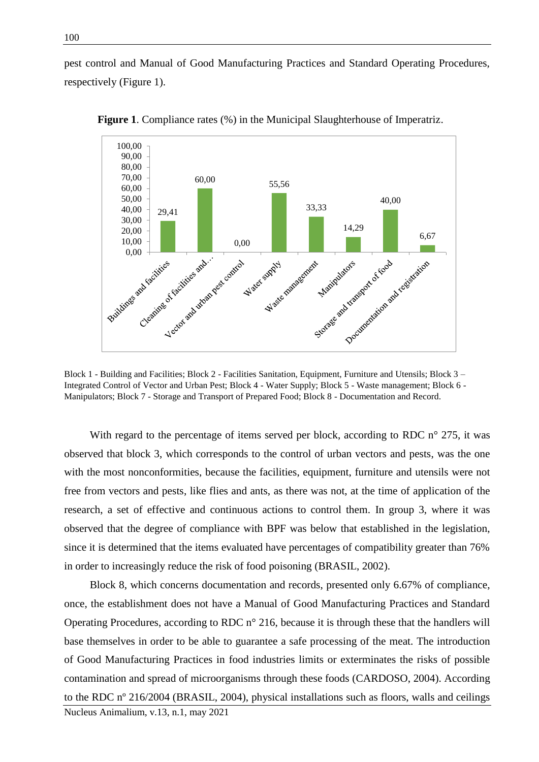pest control and Manual of Good Manufacturing Practices and Standard Operating Procedures, respectively (Figure 1).



**Figure 1**. Compliance rates (%) in the Municipal Slaughterhouse of Imperatriz.

Block 1 - Building and Facilities; Block 2 - Facilities Sanitation, Equipment, Furniture and Utensils; Block 3 – Integrated Control of Vector and Urban Pest; Block 4 - Water Supply; Block 5 - Waste management; Block 6 - Manipulators; Block 7 - Storage and Transport of Prepared Food; Block 8 - Documentation and Record.

With regard to the percentage of items served per block, according to RDC  $n^{\circ}$  275, it was observed that block 3, which corresponds to the control of urban vectors and pests, was the one with the most nonconformities, because the facilities, equipment, furniture and utensils were not free from vectors and pests, like flies and ants, as there was not, at the time of application of the research, a set of effective and continuous actions to control them. In group 3, where it was observed that the degree of compliance with BPF was below that established in the legislation, since it is determined that the items evaluated have percentages of compatibility greater than 76% in order to increasingly reduce the risk of food poisoning (BRASIL, 2002).

Nucleus Animalium, v.13, n.1, may 2021 Block 8, which concerns documentation and records, presented only 6.67% of compliance, once, the establishment does not have a Manual of Good Manufacturing Practices and Standard Operating Procedures, according to RDC n° 216, because it is through these that the handlers will base themselves in order to be able to guarantee a safe processing of the meat. The introduction of Good Manufacturing Practices in food industries limits or exterminates the risks of possible contamination and spread of microorganisms through these foods (CARDOSO, 2004). According to the RDC nº 216/2004 (BRASIL, 2004), physical installations such as floors, walls and ceilings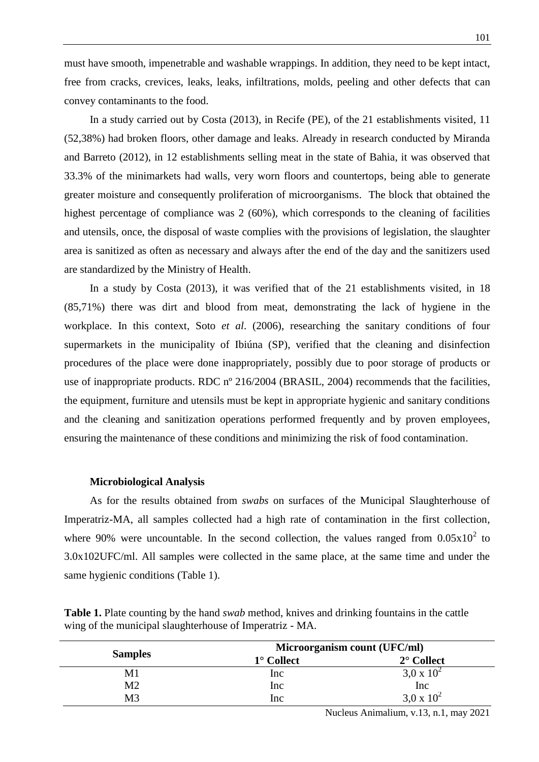must have smooth, impenetrable and washable wrappings. In addition, they need to be kept intact, free from cracks, crevices, leaks, leaks, infiltrations, molds, peeling and other defects that can convey contaminants to the food.

In a study carried out by Costa (2013), in Recife (PE), of the 21 establishments visited, 11 (52,38%) had broken floors, other damage and leaks. Already in research conducted by Miranda and Barreto (2012), in 12 establishments selling meat in the state of Bahia, it was observed that 33.3% of the minimarkets had walls, very worn floors and countertops, being able to generate greater moisture and consequently proliferation of microorganisms. The block that obtained the highest percentage of compliance was 2 (60%), which corresponds to the cleaning of facilities and utensils, once, the disposal of waste complies with the provisions of legislation, the slaughter area is sanitized as often as necessary and always after the end of the day and the sanitizers used are standardized by the Ministry of Health.

In a study by Costa (2013), it was verified that of the 21 establishments visited, in 18 (85,71%) there was dirt and blood from meat, demonstrating the lack of hygiene in the workplace. In this context, Soto *et al*. (2006), researching the sanitary conditions of four supermarkets in the municipality of Ibiúna (SP), verified that the cleaning and disinfection procedures of the place were done inappropriately, possibly due to poor storage of products or use of inappropriate products. RDC nº 216/2004 (BRASIL, 2004) recommends that the facilities, the equipment, furniture and utensils must be kept in appropriate hygienic and sanitary conditions and the cleaning and sanitization operations performed frequently and by proven employees, ensuring the maintenance of these conditions and minimizing the risk of food contamination.

#### **Microbiological Analysis**

As for the results obtained from *swabs* on surfaces of the Municipal Slaughterhouse of Imperatriz-MA, all samples collected had a high rate of contamination in the first collection, where 90% were uncountable. In the second collection, the values ranged from  $0.05x10^2$  to 3.0x102UFC/ml. All samples were collected in the same place, at the same time and under the same hygienic conditions (Table 1).

|                | Microorganism count (UFC/ml) |                                      |  |  |  |
|----------------|------------------------------|--------------------------------------|--|--|--|
| <b>Samples</b> | $1^\circ$ Collect            | $2^{\circ}$ Collect                  |  |  |  |
| M1             | Inc                          | $3.0 \times 10^{2}$                  |  |  |  |
| M <sub>2</sub> | Inc                          | $\frac{\text{Inc}}{3,0 \times 10^2}$ |  |  |  |
| M <sub>3</sub> | Inc                          |                                      |  |  |  |

**Table 1.** Plate counting by the hand *swab* method, knives and drinking fountains in the cattle wing of the municipal slaughterhouse of Imperatriz - MA.

Nucleus Animalium, v.13, n.1, may 2021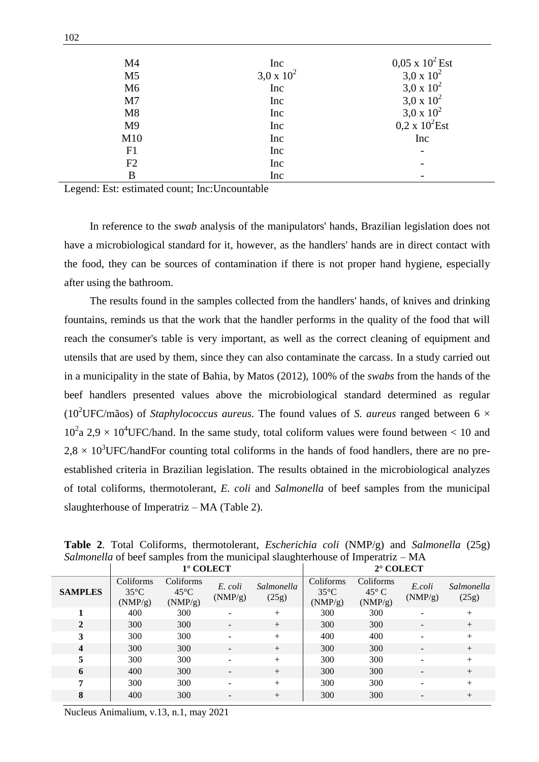| M <sub>4</sub> | Inc               | $0.05 \times 10^2$ Est |
|----------------|-------------------|------------------------|
| M <sub>5</sub> | $3,0 \times 10^2$ | $3,0 \times 10^2$      |
| M <sub>6</sub> | Inc               | 3,0 x $10^2$           |
| M <sub>7</sub> | Inc               | 3,0 x $10^2$           |
| M8             | Inc               | 3,0 x $10^2$           |
| M <sub>9</sub> | Inc               | $0.2 \times 10^2$ Est  |
| M10            | Inc               | Inc                    |
| F1             | Inc               |                        |
| F2             | Inc               |                        |
| B              | Inc               |                        |

Legend: Est: estimated count; Inc:Uncountable

In reference to the *swab* analysis of the manipulators' hands, Brazilian legislation does not have a microbiological standard for it, however, as the handlers' hands are in direct contact with the food, they can be sources of contamination if there is not proper hand hygiene, especially after using the bathroom.

The results found in the samples collected from the handlers' hands, of knives and drinking fountains, reminds us that the work that the handler performs in the quality of the food that will reach the consumer's table is very important, as well as the correct cleaning of equipment and utensils that are used by them, since they can also contaminate the carcass. In a study carried out in a municipality in the state of Bahia, by Matos (2012), 100% of the *swabs* from the hands of the beef handlers presented values above the microbiological standard determined as regular ( $10^{2}$ UFC/mãos) of *Staphylococcus aureus*. The found values of *S. aureus* ranged between 6  $\times$  $10^2$ a 2,9 × 10<sup>4</sup>UFC/hand. In the same study, total coliform values were found between < 10 and  $2.8 \times 10^3$ UFC/handFor counting total coliforms in the hands of food handlers, there are no preestablished criteria in Brazilian legislation. The results obtained in the microbiological analyzes of total coliforms, thermotolerant, *E. coli* and *Salmonella* of beef samples from the municipal slaughterhouse of Imperatriz – MA (Table 2).

|                         | л.<br>J<br>1° COLECT                   |                                        |                    |                     | л.<br>2° COLECT                        |                                        |                          |                     |
|-------------------------|----------------------------------------|----------------------------------------|--------------------|---------------------|----------------------------------------|----------------------------------------|--------------------------|---------------------|
| <b>SAMPLES</b>          | Coliforms<br>$35^{\circ}$ C<br>(NMP/g) | Coliforms<br>$45^{\circ}$ C<br>(NMP/g) | E. coli<br>(NMP/g) | Salmonella<br>(25g) | Coliforms<br>$35^{\circ}$ C<br>(NMP/g) | Coliforms<br>$45^{\circ}$ C<br>(NMP/g) | E.coli<br>(NMP/g)        | Salmonella<br>(25g) |
|                         | 400                                    | 300                                    |                    | $+$                 | 300                                    | 300                                    |                          | $+$                 |
| $\overline{2}$          | 300                                    | 300                                    |                    | $^{+}$              | 300                                    | 300                                    |                          | $^{+}$              |
| 3                       | 300                                    | 300                                    |                    | $+$                 | 400                                    | 400                                    |                          | $+$                 |
| $\overline{\mathbf{4}}$ | 300                                    | 300                                    |                    | $+$                 | 300                                    | 300                                    | $\overline{\phantom{a}}$ | $+$                 |
| 5                       | 300                                    | 300                                    |                    | $+$                 | 300                                    | 300                                    |                          | $+$                 |
| 6                       | 400                                    | 300                                    |                    | $+$                 | 300                                    | 300                                    | ٠                        | $+$                 |
| 7                       | 300                                    | 300                                    |                    | $+$                 | 300                                    | 300                                    |                          | $+$                 |
| 8                       | 400                                    | 300                                    | -                  | $+$                 | 300                                    | 300                                    |                          | $^{+}$              |

**Table 2**. Total Coliforms, thermotolerant, *Escherichia coli* (NMP/g) and *Salmonella* (25g) *Salmonella* of beef samples from the municipal slaughterhouse of Imperatriz – MA

Nucleus Animalium, v.13, n.1, may 2021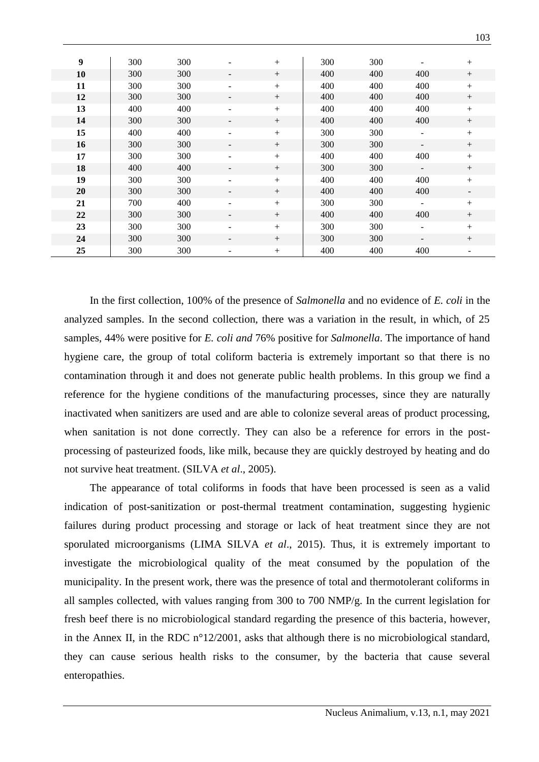| 9  | 300 | 300 |                          | $+$    | 300 | 300 | $\qquad \qquad -$        | $+$                      |
|----|-----|-----|--------------------------|--------|-----|-----|--------------------------|--------------------------|
| 10 | 300 | 300 | -                        | $^{+}$ | 400 | 400 | 400                      | $^{+}$                   |
| 11 | 300 | 300 | -                        | $+$    | 400 | 400 | 400                      | $+$                      |
| 12 | 300 | 300 | -                        | $^{+}$ | 400 | 400 | 400                      | $\boldsymbol{+}$         |
| 13 | 400 | 400 | ۰                        | $^{+}$ | 400 | 400 | 400                      | $+$                      |
| 14 | 300 | 300 | -                        | $+$    | 400 | 400 | 400                      | $+$                      |
| 15 | 400 | 400 | $\overline{\phantom{a}}$ | $+$    | 300 | 300 | $\overline{\phantom{a}}$ | $+$                      |
| 16 | 300 | 300 | -                        | $^{+}$ | 300 | 300 | $\overline{\phantom{a}}$ | $+$                      |
| 17 | 300 | 300 | Ξ.                       | $+$    | 400 | 400 | 400                      | $+$                      |
| 18 | 400 | 400 | -                        | $+$    | 300 | 300 | $\overline{\phantom{a}}$ | $+$                      |
| 19 | 300 | 300 | Ξ.                       | $^{+}$ | 400 | 400 | 400                      | $+$                      |
| 20 | 300 | 300 | -                        | $^{+}$ | 400 | 400 | 400                      | $\overline{\phantom{a}}$ |
| 21 | 700 | 400 | $\overline{\phantom{a}}$ | $^{+}$ | 300 | 300 | $\overline{\phantom{a}}$ | $+$                      |
| 22 | 300 | 300 | -                        | $^{+}$ | 400 | 400 | 400                      | $+$                      |
| 23 | 300 | 300 | Ξ.                       | $^{+}$ | 300 | 300 | $\overline{\phantom{a}}$ |                          |
| 24 | 300 | 300 | -                        | $^{+}$ | 300 | 300 | $\overline{\phantom{a}}$ | $+$                      |
| 25 | 300 | 300 | -                        | $^{+}$ | 400 | 400 | 400                      | -                        |

In the first collection, 100% of the presence of *Salmonella* and no evidence of *E. coli* in the analyzed samples. In the second collection, there was a variation in the result, in which, of 25 samples, 44% were positive for *E. coli and* 76% positive for *Salmonella*. The importance of hand hygiene care, the group of total coliform bacteria is extremely important so that there is no contamination through it and does not generate public health problems. In this group we find a reference for the hygiene conditions of the manufacturing processes, since they are naturally inactivated when sanitizers are used and are able to colonize several areas of product processing, when sanitation is not done correctly. They can also be a reference for errors in the postprocessing of pasteurized foods, like milk, because they are quickly destroyed by heating and do not survive heat treatment. (SILVA *et al*., 2005).

The appearance of total coliforms in foods that have been processed is seen as a valid indication of post-sanitization or post-thermal treatment contamination, suggesting hygienic failures during product processing and storage or lack of heat treatment since they are not sporulated microorganisms (LIMA SILVA *et al*., 2015). Thus, it is extremely important to investigate the microbiological quality of the meat consumed by the population of the municipality. In the present work, there was the presence of total and thermotolerant coliforms in all samples collected, with values ranging from 300 to 700 NMP/g. In the current legislation for fresh beef there is no microbiological standard regarding the presence of this bacteria, however, in the Annex II, in the RDC n°12/2001, asks that although there is no microbiological standard, they can cause serious health risks to the consumer, by the bacteria that cause several enteropathies.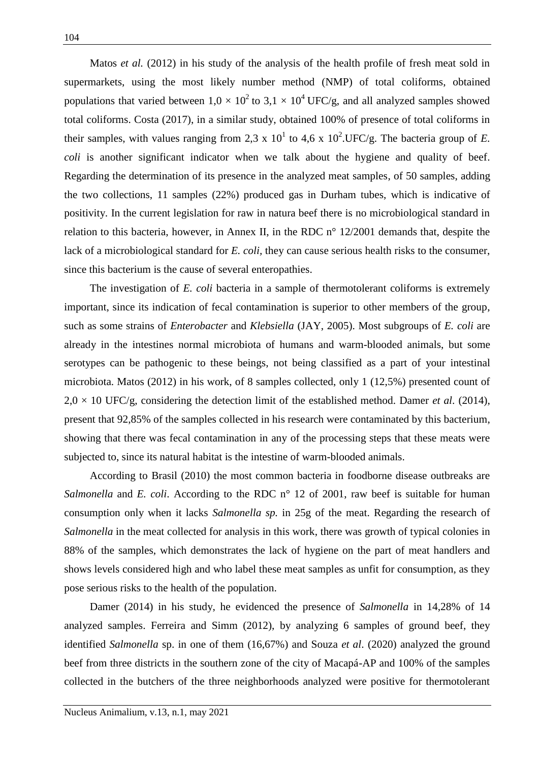Matos *et al.* (2012) in his study of the analysis of the health profile of fresh meat sold in supermarkets, using the most likely number method (NMP) of total coliforms, obtained populations that varied between  $1.0 \times 10^2$  to  $3.1 \times 10^4$  UFC/g, and all analyzed samples showed total coliforms. Costa (2017), in a similar study, obtained 100% of presence of total coliforms in their samples, with values ranging from 2,3 x  $10^1$  to 4,6 x  $10^2$ .UFC/g. The bacteria group of *E*. *coli* is another significant indicator when we talk about the hygiene and quality of beef. Regarding the determination of its presence in the analyzed meat samples, of 50 samples, adding the two collections, 11 samples (22%) produced gas in Durham tubes, which is indicative of positivity. In the current legislation for raw in natura beef there is no microbiological standard in relation to this bacteria, however, in Annex II, in the RDC n° 12/2001 demands that, despite the lack of a microbiological standard for *E. coli,* they can cause serious health risks to the consumer, since this bacterium is the cause of several enteropathies.

The investigation of *E. coli* bacteria in a sample of thermotolerant coliforms is extremely important, since its indication of fecal contamination is superior to other members of the group, such as some strains of *Enterobacter* and *Klebsiella* (JAY, 2005). Most subgroups of *E. coli* are already in the intestines normal microbiota of humans and warm-blooded animals, but some serotypes can be pathogenic to these beings, not being classified as a part of your intestinal microbiota. Matos (2012) in his work, of 8 samples collected, only 1 (12,5%) presented count of  $2.0 \times 10$  UFC/g, considering the detection limit of the established method. Damer *et al.* (2014), present that 92,85% of the samples collected in his research were contaminated by this bacterium, showing that there was fecal contamination in any of the processing steps that these meats were subjected to, since its natural habitat is the intestine of warm-blooded animals.

According to Brasil (2010) the most common bacteria in foodborne disease outbreaks are *Salmonella* and *E. coli.* According to the RDC n° 12 of 2001, raw beef is suitable for human consumption only when it lacks *Salmonella sp.* in 25g of the meat. Regarding the research of *Salmonella* in the meat collected for analysis in this work, there was growth of typical colonies in 88% of the samples, which demonstrates the lack of hygiene on the part of meat handlers and shows levels considered high and who label these meat samples as unfit for consumption, as they pose serious risks to the health of the population.

Damer (2014) in his study, he evidenced the presence of *Salmonella* in 14,28% of 14 analyzed samples. Ferreira and Simm (2012), by analyzing 6 samples of ground beef, they identified *Salmonella* sp. in one of them (16,67%) and Souza *et al*. (2020) analyzed the ground beef from three districts in the southern zone of the city of Macapá-AP and 100% of the samples collected in the butchers of the three neighborhoods analyzed were positive for thermotolerant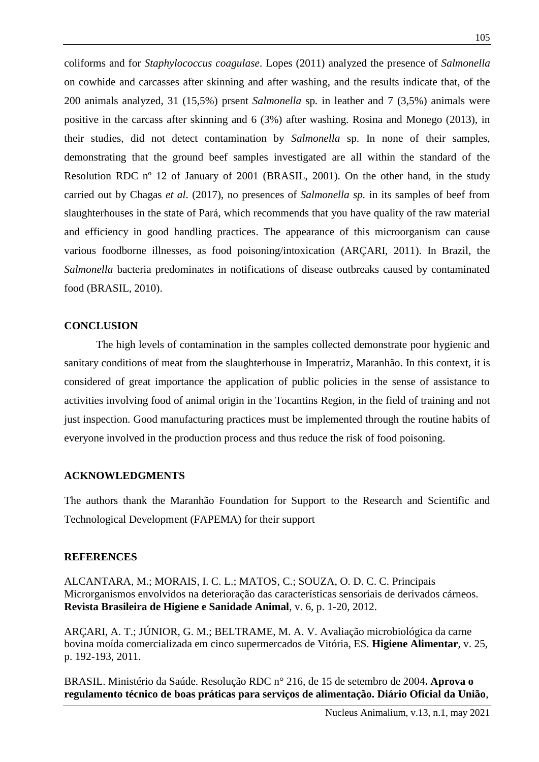coliforms and for *Staphylococcus coagulase*. Lopes (2011) analyzed the presence of *Salmonella* on cowhide and carcasses after skinning and after washing, and the results indicate that, of the 200 animals analyzed, 31 (15,5%) prsent *Salmonella* sp*.* in leather and 7 (3,5%) animals were positive in the carcass after skinning and 6 (3%) after washing. Rosina and Monego (2013), in their studies, did not detect contamination by *Salmonella* sp. In none of their samples, demonstrating that the ground beef samples investigated are all within the standard of the Resolution RDC nº 12 of January of 2001 (BRASIL, 2001). On the other hand, in the study carried out by Chagas *et al*. (2017), no presences of *Salmonella sp.* in its samples of beef from slaughterhouses in the state of Pará, which recommends that you have quality of the raw material and efficiency in good handling practices. The appearance of this microorganism can cause various foodborne illnesses, as food poisoning/intoxication (ARÇARI, 2011). In Brazil, the *Salmonella* bacteria predominates in notifications of disease outbreaks caused by contaminated food (BRASIL, 2010).

## **CONCLUSION**

The high levels of contamination in the samples collected demonstrate poor hygienic and sanitary conditions of meat from the slaughterhouse in Imperatriz, Maranhão. In this context, it is considered of great importance the application of public policies in the sense of assistance to activities involving food of animal origin in the Tocantins Region, in the field of training and not just inspection. Good manufacturing practices must be implemented through the routine habits of everyone involved in the production process and thus reduce the risk of food poisoning.

## **ACKNOWLEDGMENTS**

The authors thank the Maranhão Foundation for Support to the Research and Scientific and Technological Development (FAPEMA) for their support

## **REFERENCES**

ALCANTARA, M.; MORAIS, I. C. L.; MATOS, C.; SOUZA, O. D. C. C. Principais Microrganismos envolvidos na deterioração das características sensoriais de derivados cárneos. **Revista Brasileira de Higiene e Sanidade Animal**, v. 6, p. 1-20, 2012.

ARÇARI, A. T.; JÚNIOR, G. M.; BELTRAME, M. A. V. Avaliação microbiológica da carne bovina moída comercializada em cinco supermercados de Vitória, ES. **Higiene Alimentar**, v. 25, p. 192-193, 2011.

BRASIL. Ministério da Saúde. Resolução RDC n° 216, de 15 de setembro de 2004**. Aprova o regulamento técnico de boas práticas para serviços de alimentação. Diário Oficial da União**,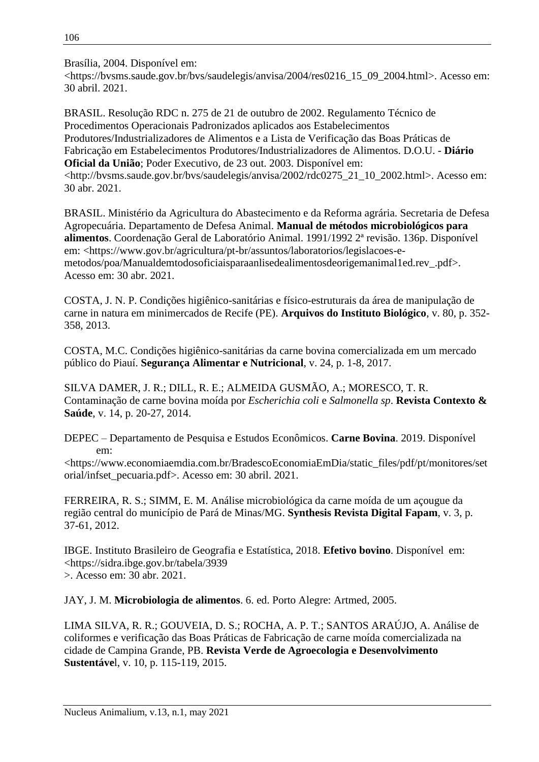Brasília, 2004. Disponível em:

<https://bvsms.saude.gov.br/bvs/saudelegis/anvisa/2004/res0216\_15\_09\_2004.html>. Acesso em: 30 abril. 2021.

BRASIL. Resolução RDC n. 275 de 21 de outubro de 2002. Regulamento Técnico de Procedimentos Operacionais Padronizados aplicados aos Estabelecimentos Produtores/Industrializadores de Alimentos e a Lista de Verificação das Boas Práticas de Fabricação em Estabelecimentos Produtores/Industrializadores de Alimentos. D.O.U. - **Diário Oficial da União**; Poder Executivo, de 23 out. 2003. Disponível em: <http://bvsms.saude.gov.br/bvs/saudelegis/anvisa/2002/rdc0275\_21\_10\_2002.html>. Acesso em: 30 abr. 2021.

BRASIL. Ministério da Agricultura do Abastecimento e da Reforma agrária. Secretaria de Defesa Agropecuária. Departamento de Defesa Animal. **Manual de métodos microbiológicos para alimentos**. Coordenação Geral de Laboratório Animal. 1991/1992 2ª revisão. 136p. Disponível em: <https://www.gov.br/agricultura/pt-br/assuntos/laboratorios/legislacoes-emetodos/poa/Manualdemtodosoficiaisparaanlisedealimentosdeorigemanimal1ed.rev\_.pdf>. Acesso em: 30 abr. 2021.

COSTA, J. N. P. Condições higiênico-sanitárias e físico-estruturais da área de manipulação de carne in natura em minimercados de Recife (PE). **Arquivos do Instituto Biológico**, v. 80, p. 352- 358, 2013.

COSTA, M.C. Condições higiênico-sanitárias da carne bovina comercializada em um mercado público do Piauí. **Segurança Alimentar e Nutricional**, v. 24, p. 1-8, 2017.

SILVA DAMER, J. R.; DILL, R. E.; ALMEIDA GUSMÃO, A.; MORESCO, T. R. Contaminação de carne bovina moída por *Escherichia coli* e *Salmonella sp*. **Revista Contexto & Saúde**, v. 14, p. 20-27, 2014.

DEPEC – Departamento de Pesquisa e Estudos Econômicos. **Carne Bovina**. 2019. Disponível em:

<https://www.economiaemdia.com.br/BradescoEconomiaEmDia/static\_files/pdf/pt/monitores/set orial/infset\_pecuaria.pdf>. Acesso em: 30 abril. 2021.

FERREIRA, R. S.; SIMM, E. M. Análise microbiológica da carne moída de um açougue da região central do município de Pará de Minas/MG. **Synthesis Revista Digital Fapam**, v. 3, p. 37-61, 2012.

IBGE. Instituto Brasileiro de Geografia e Estatística, 2018. **Efetivo bovino**. Disponível em: <https://sidra.ibge.gov.br/tabela/3939 >. Acesso em: 30 abr. 2021.

JAY, J. M. **Microbiologia de alimentos**. 6. ed. Porto Alegre: Artmed, 2005.

LIMA SILVA, R. R.; GOUVEIA, D. S.; ROCHA, A. P. T.; SANTOS ARAÚJO, A. Análise de coliformes e verificação das Boas Práticas de Fabricação de carne moída comercializada na cidade de Campina Grande, PB. **Revista Verde de Agroecologia e Desenvolvimento Sustentáve**l, v. 10, p. 115-119, 2015.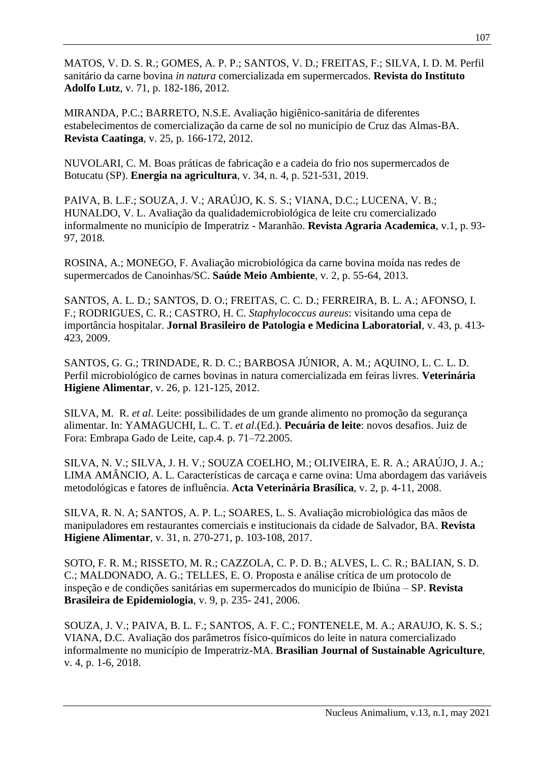MATOS, V. D. S. R.; GOMES, A. P. P.; SANTOS, V. D.; FREITAS, F.; SILVA, I. D. M. Perfil sanitário da carne bovina *in natura* comercializada em supermercados. **Revista do Instituto Adolfo Lutz**, v. 71, p. 182-186, 2012.

MIRANDA, P.C.; BARRETO, N.S.E. Avaliação higiênico-sanitária de diferentes estabelecimentos de comercialização da carne de sol no município de Cruz das Almas-BA. **Revista Caatinga**, v. 25, p. 166-172, 2012.

NUVOLARI, C. M. Boas práticas de fabricação e a cadeia do frio nos supermercados de Botucatu (SP). **Energia na agricultura**, v. 34, n. 4, p. 521-531, 2019.

PAIVA, B. L.F.; SOUZA, J. V.; ARAÚJO, K. S. S.; VIANA, D.C.; LUCENA, V. B.; HUNALDO, V. L. Avaliação da qualidademicrobiológica de leite cru comercializado informalmente no município de Imperatriz - Maranhão. **Revista Agraria Academica**, v.1, p. 93- 97, 2018.

ROSINA, A.; MONEGO, F. Avaliação microbiológica da carne bovina moída nas redes de supermercados de Canoinhas/SC. **Saúde Meio Ambiente**, v. 2, p. 55-64, 2013.

SANTOS, A. L. D.; SANTOS, D. O.; FREITAS, C. C. D.; FERREIRA, B. L. A.; AFONSO, I. F.; RODRIGUES, C. R.; CASTRO, H. C. *Staphylococcus aureus*: visitando uma cepa de importância hospitalar. **Jornal Brasileiro de Patologia e Medicina Laboratorial**, v. 43, p. 413- 423, 2009.

SANTOS, G. G.; TRINDADE, R. D. C.; BARBOSA JÚNIOR, A. M.; AQUINO, L. C. L. D. Perfil microbiológico de carnes bovinas in natura comercializada em feiras livres. **Veterinária Higiene Alimentar**, v. 26, p. 121-125, 2012.

SILVA, M. R. *et al*. Leite: possibilidades de um grande alimento no promoção da segurança alimentar. In: YAMAGUCHI, L. C. T. *et al*.(Ed.). **Pecuária de leite**: novos desafios. Juiz de Fora: Embrapa Gado de Leite, cap.4. p. 71–72.2005.

SILVA, N. V.; SILVA, J. H. V.; SOUZA COELHO, M.; OLIVEIRA, E. R. A.; ARAÚJO, J. A.; LIMA AMÂNCIO, A. L. Características de carcaça e carne ovina: Uma abordagem das variáveis metodológicas e fatores de influência. **Acta Veterinária Brasílica**, v. 2, p. 4-11, 2008.

SILVA, R. N. A; SANTOS, A. P. L.; SOARES, L. S. Avaliação microbiológica das mãos de manipuladores em restaurantes comerciais e institucionais da cidade de Salvador, BA. **Revista Higiene Alimentar**, v. 31, n. 270-271, p. 103-108, 2017.

SOTO, F. R. M.; RISSETO, M. R.; CAZZOLA, C. P. D. B.; ALVES, L. C. R.; BALIAN, S. D. C.; MALDONADO, A. G.; TELLES, E. O. Proposta e análise crítica de um protocolo de inspeção e de condições sanitárias em supermercados do município de Ibiúna – SP. **Revista Brasileira de Epidemiologia**, v. 9, p. 235- 241, 2006.

SOUZA, J. V.; PAIVA, B. L. F.; SANTOS, A. F. C.; FONTENELE, M. A.; ARAUJO, K. S. S.; VIANA, D.C. Avaliação dos parâmetros físico-químicos do leite in natura comercializado informalmente no município de Imperatriz-MA. **Brasilian Journal of Sustainable Agriculture**, v. 4, p. 1-6, 2018.